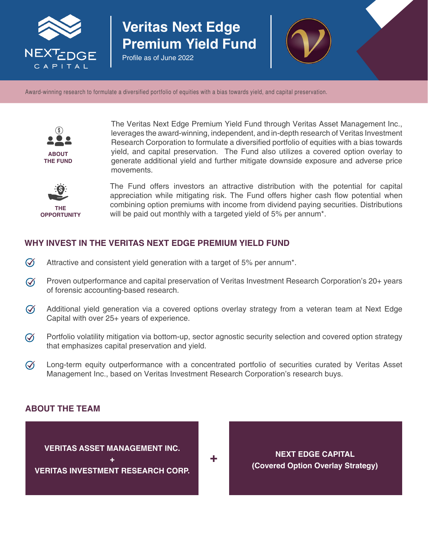

# **Veritas Next Edge Premium Yield Fund**

Profile as of June 2022



Award-winning research to formulate a diversified portfolio of equities with a bias towards yield, and capital preservation.



The Veritas Next Edge Premium Yield Fund through Veritas Asset Management Inc., leverages the award-winning, independent, and in-depth research of Veritas Investment Research Corporation to formulate a diversified portfolio of equities with a bias towards yield, and capital preservation. The Fund also utilizes a covered option overlay to generate additional yield and further mitigate downside exposure and adverse price movements.



The Fund offers investors an attractive distribution with the potential for capital appreciation while mitigating risk. The Fund offers higher cash flow potential when combining option premiums with income from dividend paying securities. Distributions will be paid out monthly with a targeted yield of 5% per annum\*.

### **WHY INVEST IN THE VERITAS NEXT EDGE PREMIUM YIELD FUND**

- $\varpi$ Attractive and consistent yield generation with a target of 5% per annum\*.
- Proven outperformance and capital preservation of Veritas Investment Research Corporation's 20+ years  $\varnothing$ of forensic accounting-based research.
- $\varnothing$ Additional yield generation via a covered options overlay strategy from a veteran team at Next Edge Capital with over 25+ years of experience.
- $\varnothing$ Portfolio volatility mitigation via bottom-up, sector agnostic security selection and covered option strategy that emphasizes capital preservation and yield.
- $\varnothing$ Long-term equity outperformance with a concentrated portfolio of securities curated by Veritas Asset Management Inc., based on Veritas Investment Research Corporation's research buys.

#### **ABOUT THE TEAM**

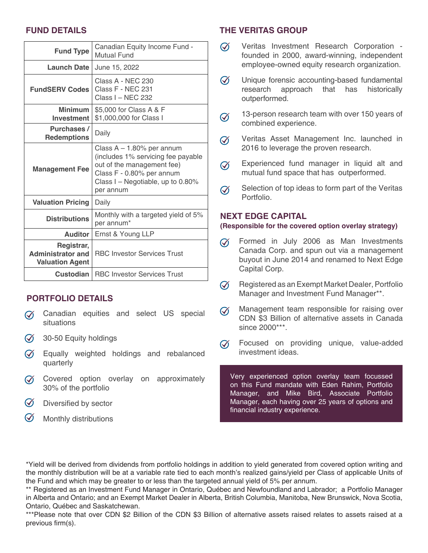## **FUND DETAILS**

| <b>Fund Type</b>                                                 | Canadian Equity Income Fund -<br>Mutual Fund                                                                                                                                       |
|------------------------------------------------------------------|------------------------------------------------------------------------------------------------------------------------------------------------------------------------------------|
| Launch Date                                                      | June 15, 2022                                                                                                                                                                      |
| <b>FundSERV Codes</b>                                            | Class A - NEC 230<br>Class F - NEC 231<br>Class I - NEC 232                                                                                                                        |
| <b>Minimum</b><br><b>Investment</b>                              | \$5,000 for Class A & F<br>\$1,000,000 for Class I                                                                                                                                 |
| Purchases /<br><b>Redemptions</b>                                | Daily                                                                                                                                                                              |
| <b>Management Fee</b>                                            | Class $A - 1.80\%$ per annum<br>(includes 1% servicing fee payable<br>out of the management fee)<br>Class F - 0.80% per annum<br>Class I – Negotiable, up to $0.80\%$<br>per annum |
| <b>Valuation Pricing</b>                                         | Daily                                                                                                                                                                              |
| <b>Distributions</b>                                             | Monthly with a targeted yield of 5%<br>per annum*                                                                                                                                  |
| <b>Auditor</b>                                                   | Ernst & Young LLP                                                                                                                                                                  |
| Registrar,<br><b>Administrator and</b><br><b>Valuation Agent</b> | <b>RBC Investor Services Trust</b>                                                                                                                                                 |
| <b>Custodian</b>                                                 | <b>RBC Investor Services Trust</b>                                                                                                                                                 |

#### **PORTFOLIO DETAILS**

- Canadian equities and select US special  $\varpi$ situations
- $\widetilde{\mathcal{A}}$  30-50 Equity holdings
- $\widetilde{Q}$  Equally weighted holdings and rebalanced quarterly
- $\oslash$  Covered option overlay on approximately 30% of the portfolio
- $\oslash$  Diversified by sector
- $\oslash$ Monthly distributions

#### **THE VERITAS GROUP**

- $\varnothing$ Veritas Investment Research Corporation founded in 2000, award-winning, independent employee-owned equity research organization.
- $\varnothing$ Unique forensic accounting-based fundamental research approach that has historically outperformed.
- 13-person research team with over 150 years of  $\varpi$ combined experience.
- Veritas Asset Management Inc. launched in  $\varnothing$ 2016 to leverage the proven research.
- Experienced fund manager in liquid alt and  $\varnothing$ mutual fund space that has outperformed.
- Selection of top ideas to form part of the Veritas  $\varnothing$ Portfolio.

#### **NEXT EDGE CAPITAL**

#### **(Responsible for the covered option overlay strategy)**

- Formed in July 2006 as Man Investments  $\varpi$ Canada Corp. and spun out via a management buyout in June 2014 and renamed to Next Edge Capital Corp.
- Registered as an Exempt Market Dealer, Portfolio  $\varnothing$ Manager and Investment Fund Manager\*\*.
- Management team responsible for raising over  $\varnothing$ CDN \$3 Billion of alternative assets in Canada since 2000\*\*\*.
- Focused on providing unique, value-added  $\mathcal{Q}$ investment ideas.

Very experienced option overlay team focussed on this Fund mandate with Eden Rahim, Portfolio Manager, and Mike Bird, Associate Portfolio Manager, each having over 25 years of options and financial industry experience.

\*Yield will be derived from dividends from portfolio holdings in addition to yield generated from covered option writing and the monthly distribution will be at a variable rate tied to each month's realized gains/yield per Class of applicable Units of the Fund and which may be greater to or less than the targeted annual yield of 5% per annum.

\*\* Registered as an Investment Fund Manager in Ontario, Québec and Newfoundland and Labrador; a Portfolio Manager in Alberta and Ontario; and an Exempt Market Dealer in Alberta, British Columbia, Manitoba, New Brunswick, Nova Scotia, Ontario, Québec and Saskatchewan.

\*\*\*Please note that over CDN \$2 Billion of the CDN \$3 Billion of alternative assets raised relates to assets raised at a previous firm(s).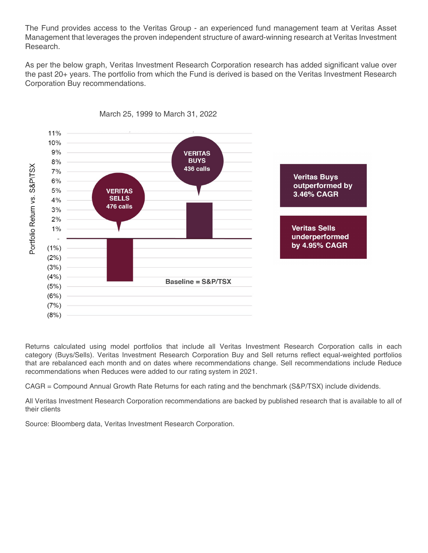The Fund provides access to the Veritas Group - an experienced fund management team at Veritas Asset Management that leverages the proven independent structure of award-winning research at Veritas Investment Research.

As per the below graph, Veritas Investment Research Corporation research has added significant value over the past 20+ years. The portfolio from which the Fund is derived is based on the Veritas Investment Research Corporation Buy recommendations.



March 25, 1999 to March 31, 2022

Returns calculated using model portfolios that include all Veritas Investment Research Corporation calls in each category (Buys/Sells). Veritas Investment Research Corporation Buy and Sell returns reflect equal-weighted portfolios that are rebalanced each month and on dates where recommendations change. Sell recommendations include Reduce recommendations when Reduces were added to our rating system in 2021.

CAGR = Compound Annual Growth Rate Returns for each rating and the benchmark (S&P/TSX) include dividends.

All Veritas Investment Research Corporation recommendations are backed by published research that is available to all of their clients

Source: Bloomberg data, Veritas Investment Research Corporation.